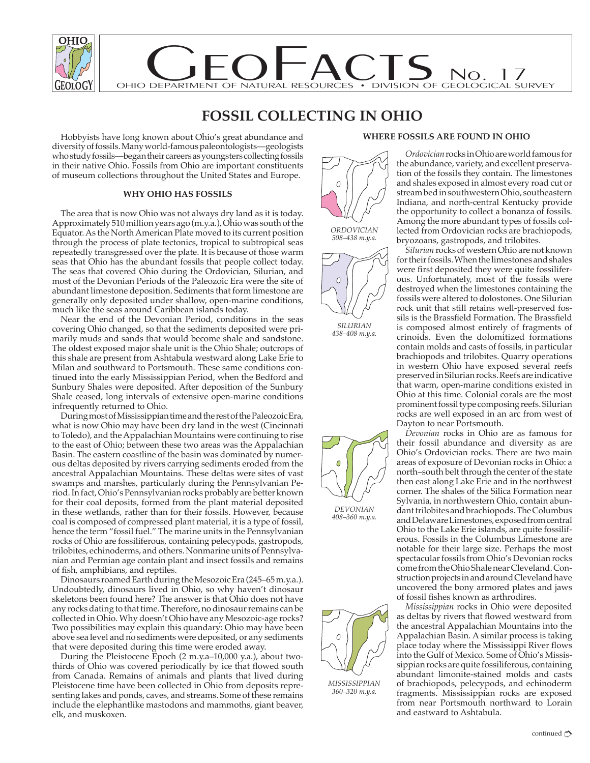

# **FOSSIL COLLECTING IN OHIO**

Hobbyists have long known about Ohio's great abundance and diversity of fossils. Many world-famous paleontologists—geologists who study fossils—began their careers as youngsters collecting fossils in their native Ohio. Fossils from Ohio are important constituents of museum collections throughout the United States and Europe.

# **WHY OHIO HAS FOSSILS**

The area that is now Ohio was not always dry land as it is today. Approximately 510 million years ago (m.y.a.), Ohio was south of the Equator. As the North American Plate moved to its current position through the process of plate tectonics, tropical to subtropical seas repeatedly transgressed over the plate. It is because of those warm seas that Ohio has the abundant fossils that people collect today. The seas that covered Ohio during the Ordovician, Silurian, and most of the Devonian Periods of the Paleozoic Era were the site of abundant limestone deposition. Sediments that form limestone are generally only deposited under shallow, open-marine conditions, much like the seas around Caribbean islands today.

Near the end of the Devonian Period, conditions in the seas covering Ohio changed, so that the sediments deposited were primarily muds and sands that would become shale and sandstone. The oldest exposed major shale unit is the Ohio Shale; outcrops of this shale are present from Ashtabula westward along Lake Erie to Milan and southward to Portsmouth. These same conditions continued into the early Mississippian Period, when the Bedford and Sunbury Shales were deposited. After deposition of the Sunbury Shale ceased, long intervals of extensive open-marine conditions infrequently returned to Ohio.

During most of Mississippian time and the rest of the Paleozoic Era, what is now Ohio may have been dry land in the west (Cincinnati to Toledo), and the Appalachian Mountains were continuing to rise to the east of Ohio; between these two areas was the Appalachian Basin. The eastern coastline of the basin was dominated by numerous deltas deposited by rivers carrying sediments eroded from the ancestral Appalachian Mountains. These deltas were sites of vast swamps and marshes, particularly during the Pennsylvanian Period. In fact, Ohio's Pennsylvanian rocks probably are better known for their coal deposits, formed from the plant material deposited in these wetlands, rather than for their fossils. However, because coal is composed of compressed plant material, it is a type of fossil, hence the term "fossil fuel." The marine units in the Pennsylvanian rocks of Ohio are fossiliferous, containing pelecypods, gastropods, trilobites, echinoderms, and others. Nonmarine units of Pennsylvanian and Permian age contain plant and insect fossils and remains of fish, amphibians, and reptiles.

Dinosaurs roamed Earth during the Mesozoic Era (245–65 m.y.a.). Undoubtedly, dinosaurs lived in Ohio, so why haven't dinosaur skeletons been found here? The answer is that Ohio does not have any rocks dating to that time. Therefore, no dinosaur remains can be collected in Ohio. Why doesn't Ohio have any Mesozoic-age rocks? Two possibilities may explain this quandary: Ohio may have been above sea level and no sediments were deposited, or any sediments that were deposited during this time were eroded away.

During the Pleistocene Epoch (2 m.y.a–10,000 y.a.), about twothirds of Ohio was covered periodically by ice that flowed south from Canada. Remains of animals and plants that lived during Pleistocene time have been collected in Ohio from deposits representing lakes and ponds, caves, and streams. Some of these remains include the elephantlike mastodons and mammoths, giant beaver, elk, and muskoxen.

### **WHERE FOSSILS ARE FOUND IN OHIO**





*SILURIAN 438–408 m.y.a.*



*408–360 m.y.a.*



*MISSISSIPPIAN 360–320 m.y.a.*

*Ordovician* rocks in Ohio are world famous for the abundance, variety, and excellent preservation of the fossils they contain. The limestones and shales exposed in almost every road cut or stream bed in southwestern Ohio, southeastern Indiana, and north-central Kentucky provide the opportunity to collect a bonanza of fossils. Among the more abundant types of fossils collected from Ordovician rocks are brachiopods, bryozoans, gastropods, and trilobites.

*Silurian* rocks of western Ohio are not known for their fossils. When the limestones and shales were first deposited they were quite fossiliferous. Unfortunately, most of the fossils were destroyed when the limestones containing the fossils were altered to dolostones. One Silurian rock unit that still retains well-preserved fossils is the Brassfield Formation. The Brassfield is composed almost entirely of fragments of crinoids. Even the dolomitized formations contain molds and casts of fossils, in particular brachiopods and trilobites. Quarry operations in western Ohio have exposed several reefs preserved in Silurian rocks. Reefs are indicative that warm, open-marine conditions existed in Ohio at this time. Colonial corals are the most prominent fossil type composing reefs. Silurian rocks are well exposed in an arc from west of Dayton to near Portsmouth.

*Devonian* rocks in Ohio are as famous for their fossil abundance and diversity as are Ohio's Ordovician rocks. There are two main areas of exposure of Devonian rocks in Ohio: a north–south belt through the center of the state then east along Lake Erie and in the northwest corner. The shales of the Silica Formation near Sylvania, in northwestern Ohio, contain abundant trilobites and brachiopods. The Columbus and Delaware Limestones, exposed from central Ohio to the Lake Erie islands, are quite fossiliferous. Fossils in the Columbus Limestone are notable for their large size. Perhaps the most spectacular fossils from Ohio's Devonian rocks come from the Ohio Shale near Cleveland. Construction projects in and around Cleveland have uncovered the bony armored plates and jaws of fossil fishes known as arthrodires.

*Mississippian* rocks in Ohio were deposited as deltas by rivers that flowed westward from the ancestral Appalachian Mountains into the Appalachian Basin. A similar process is taking place today where the Mississippi River flows into the Gulf of Mexico. Some of Ohio's Mississippian rocks are quite fossiliferous, containing abundant limonite-stained molds and casts of brachiopods, pelecypods, and echinoderm fragments. Mississippian rocks are exposed from near Portsmouth northward to Lorain and eastward to Ashtabula.